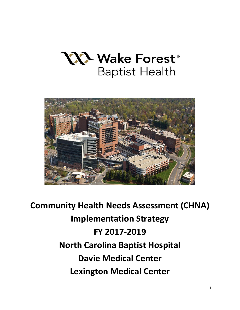



**Community Health Needs Assessment (CHNA) Implementation Strategy FY 2017-2019 North Carolina Baptist Hospital Davie Medical Center Lexington Medical Center**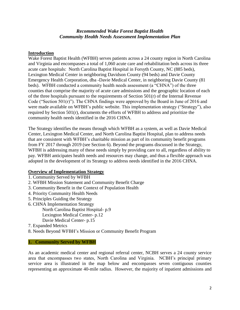## *Recommended Wake Forest Baptist Health Community Health Needs Assessment Implementation Plan*

#### **Introduction**

Wake Forest Baptist Health (WFBH) serves patients across a 24 county region in North Carolina and Virginia and encompasses a total of 1,060 acute care and rehabilitation beds across its three acute care hospitals: North Carolina Baptist Hospital in Forsyth County, NC (885 beds), Lexington Medical Center in neighboring Davidson County (94 beds) and Davie County Emergency Health Corporation, dba -Davie Medical Center, in neighboring Davie County (81 beds). WFBH conducted a community health needs assessment (a "CHNA") of the three counties that comprise the majority of acute care admissions and the geographic location of each of the three hospitals pursuant to the requirements of Section  $501(r)$  of the Internal Revenue Code ("Section 501(r)"). The CHNA findings were approved by the Board in June of 2016 and were made available on WFBH's public website. This implementation strategy ("Strategy"), also required by Section 501(r), documents the efforts of WFBH to address and prioritize the community health needs identified in the 2016 CHNA.

The Strategy identifies the means through which WFBH as a system, as well as Davie Medical Center, Lexington Medical Center, and North Carolina Baptist Hospital, plan to address needs that are consistent with WFBH's charitable mission as part of its community benefit programs from FY 2017 through 2019 (see Section 6). Beyond the programs discussed in the Strategy, WFBH is addressing many of these needs simply by providing care to all, regardless of ability to pay. WFBH anticipates health needs and resources may change, and thus a flexible approach was adopted in the development of its Strategy to address needs identified in the 2016 CHNA.

## **Overview of Implementation Strategy**

- 1. Community Served by WFBH
- 2. WFBH Mission Statement and Community Benefit Charge
- 3. Community Benefit in the Context of Population Health
- 4. Priority Community Health Needs
- 5. Principles Guiding the Strategy
- 6. CHNA Implementation Strategy
	- North Carolina Baptist Hospital- p.9
	- Lexington Medical Center- p.12
	- Davie Medical Center- p.15
- 7. Expanded Metrics
- 8. Needs Beyond WFBH's Mission or Community Benefit Program

#### **1. Community Served by WFBH**

As an academic medical center and regional referral center, NCBH serves a 24 county service area that encompasses two states, North Carolina and Virginia. NCBH's principal primary service area is illustrated in the map below and encompasses seven contiguous counties representing an approximate 40-mile radius. However, the majority of inpatient admissions and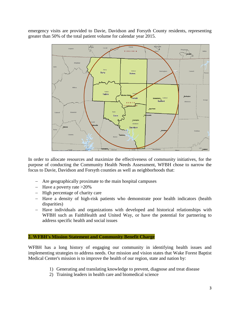emergency visits are provided to Davie, Davidson and Forsyth County residents, representing greater than 50% of the total patient volume for calendar year 2015.



In order to allocate resources and maximize the effectiveness of community initiatives, for the purpose of conducting the Community Health Needs Assessment, WFBH chose to narrow the focus to Davie, Davidson and Forsyth counties as well as neighborhoods that:

- Are geographically proximate to the main hospital campuses
- Have a poverty rate  $>20\%$
- $-$  High percentage of charity care
- Have a density of high-risk patients who demonstrate poor health indicators (health disparities)
- Have individuals and organizations with developed and historical relationships with WFBH such as FaithHealth and United Way, or have the potential for partnering to address specific health and social issues

#### **2. WFBH's Mission Statement and Community Benefit Charge**

WFBH has a long history of engaging our community in identifying health issues and implementing strategies to address needs. Our mission and vision states that Wake Forest Baptist Medical Center's mission is to improve the health of our region, state and nation by:

- 1) Generating and translating knowledge to prevent, diagnose and treat disease
- 2) Training leaders in health care and biomedical science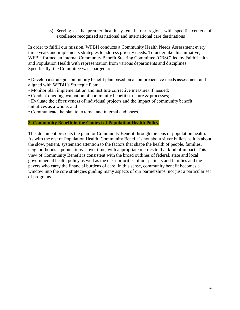3) Serving as the premier health system in our region, with specific centers of excellence recognized as national and international care destinations

In order to fulfill our mission, WFBH conducts a Community Health Needs Assessment every three years and implements strategies to address priority needs. To undertake this initiative, WFBH formed an internal Community Benefit Steering Committee (CBSC) led by FaithHealth and Population Health with representation from various departments and disciplines. Specifically, the Committee was charged to:

• Develop a strategic community benefit plan based on a comprehensive needs assessment and aligned with WFBH's Strategic Plan;

- Monitor plan implementation and institute corrective measures if needed;
- Conduct ongoing evaluation of community benefit structure & processes;

• Evaluate the effectiveness of individual projects and the impact of community benefit initiatives as a whole; and

• Communicate the plan to external and internal audiences.

#### **3. Community Benefit in the Context of Population Health Policy**

This document presents the plan for Community Benefit through the lens of population health. As with the rest of Population Health, Community Benefit is not about silver bullets as it is about the slow, patient, systematic attention to the factors that shape the health of people, families, neighborhoods—populations—over time, with appropriate metrics to that kind of impact. This view of Community Benefit is consistent with the broad outlines of federal, state and local governmental health policy as well as the clear priorities of our patients and families and the payers who carry the financial burdens of care. In this sense, community benefit becomes a window into the core strategies guiding many aspects of our partnerships, not just a particular set of programs.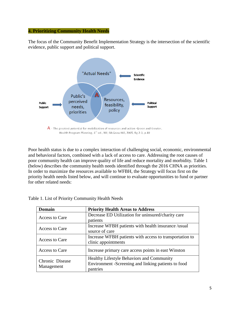#### **4. Prioritizing Community Health Needs**

The focus of the Community Benefit Implementation Strategy is the intersection of the scientific evidence, public support and political support.



Health Program Planning, 4<sup>th</sup> ed., NY; McGraw Hill, 2005, fig 2-3, p.40

Poor health status is due to a complex interaction of challenging social, economic, environmental and behavioral factors, combined with a lack of access to care. Addressing the root causes of poor community health can improve quality of life and reduce mortality and morbidity. Table 1 (below) describes the community health needs identified through the 2016 CHNA as priorities. In order to maximize the resources available to WFBH, the Strategy will focus first on the priority health needs listed below, and will continue to evaluate opportunities to fund or partner for other related needs:

| <b>Domain</b>                 | <b>Priority Health Areas to Address</b>                 |  |
|-------------------------------|---------------------------------------------------------|--|
| Access to Care                | Decrease ED Utilization for uninsured/charity care      |  |
|                               | patients                                                |  |
| Access to Care                | Increase WFBH patients with health insurance /usual     |  |
|                               | source of care                                          |  |
| Access to Care                | Increase WFBH patients with access to transportation to |  |
|                               | clinic appointments                                     |  |
| Access to Care                | Increase primary care access points in east Winston     |  |
| Chronic Disease<br>Management | Healthy Lifestyle Behaviors and Community               |  |
|                               | Environment -Screening and linking patients to food     |  |
|                               | pantries                                                |  |

| Table 1. List of Priority Community Health Needs |  |  |
|--------------------------------------------------|--|--|
|                                                  |  |  |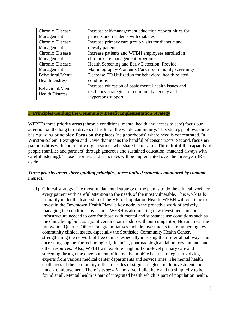| Chronic Disease                             | Increase self-management education opportunities for  |  |
|---------------------------------------------|-------------------------------------------------------|--|
| Management                                  | patients and residents with diabetes                  |  |
| Chronic Disease                             | Increase primary care group visits for diabetic and   |  |
| Management                                  | obesity patients                                      |  |
| Chronic Disease                             | Increase patients and WFBH employees enrolled in      |  |
| Management                                  | chronic care management programs                      |  |
| Chronic Disease                             | Health Screening and Early Detection: Provide         |  |
| Management                                  | Mammography/Women's Cancer community screenings       |  |
| Behavioral/Mental                           | Decrease ED Utilization for behavioral health related |  |
| <b>Health Distress</b>                      | conditions                                            |  |
| Behavioral/Mental<br><b>Health Distress</b> | Increase education of basic mental health issues and  |  |
|                                             | resiliency strategies for community agency and        |  |
|                                             | laypersons support                                    |  |

#### **5**. **Principles Guiding the Community Benefit Implementation Strategy**

WFBH's three priority areas (chronic conditions, mental health and access to care) focus our attention on the long term drivers of health of the whole community. This strategy follows three basic guiding principles: **Focus on the places** (neighborhoods) where need is concentrated. In Winston-Salem, Lexington and Davie that means the handful of census tracts. Second, **focus on partnerships** with community organizations who share the mission. Third, **build the capacity** of people (families and partners) through generous and sustained education (matched always with careful listening). Those priorities and principles will be implemented over the three-year IRS cycle.

#### *Three priority areas, three guiding principles, three unified strategies monitored by common metrics.*

1) Clinical strategy. The most fundamental strategy of the plan is to do the clinical work for every patient with careful attention to the needs of the most vulnerable. This work falls primarily under the leadership of the VP for Population Health. WFBH will continue to invest in the Downtown Health Plaza, a key node in the proactive work of actively managing the conditions over time. WFBH is also making new investments in core infrastructure needed to care for those with mental and substance use conditions such as the clinic being built as a joint venture partnership with our competitor, Novant, near the Innovation Quarter. Other strategic initiatives include investments in strengthening key community clinical assets, especially the Southside Community Health Center, strengthening the network of free clinics, especially in easing their referral pathways and increasing support for technological, financial, pharmacological, laboratory, human, and other resources. Also, WFBH will explore neighborhood-level primary care and screening through the development of innovative mobile health strategies involving experts from various medical center departments and service lines. The mental health challenges of the community reflect decades of stigma, neglect, underinvestment and under-reimbursement. There is *especially* no silver bullet here and no simplicity to be found at all. Mental health is part of integrated health which is part of population health.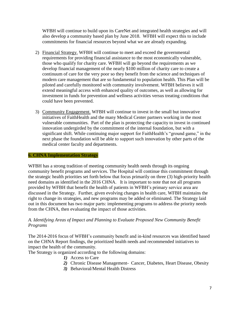WFBH will continue to build upon its CareNet and integrated health strategies and will also develop a community based plan by June 2018. WFBH will expect this to include commitments for financial resources beyond what we are already expanding.

- 2) Financial Strategy. WFBH will continue to meet and exceed the governmental requirements for providing financial assistance to the most economically vulnerable, those who qualify for charity care. WFBH will go beyond the requirements as we develop financial management of the nearly \$100 million of charity care to create a continuum of care for the very poor so they benefit from the science and techniques of modern care management that are so fundamental to population health. This Plan will be piloted and carefully monitored with community involvement. WFBH believes it will extend meaningful access with enhanced quality of outcomes, as well as allowing for investment in funds for prevention and wellness activities versus treating conditions that could have been prevented.
- 3) Community Engagement. WFBH will continue to invest in the small but innovative initiatives of FaithHealth and the many Medical Center partners working in the most vulnerable communities. Part of the plan is protecting the capacity to invest in continued innovation undergirded by the commitment of the internal foundation, but with a significant shift. While continuing major support for FaithHealth's "ground game," in the next phase the foundation will be able to support such innovation by other parts of the medical center faculty and departments.

#### **6. CHNA Implementation Strategy**

WFBH has a strong tradition of meeting community health needs through its ongoing community benefit programs and services. The Hospital will continue this commitment through the strategic health priorities set forth below that focus primarily on three (3) high-priority health need domains as identified in the 2016 CHNA. It is important to note that not all programs provided by WFBH that benefit the health of patients in WFBH's primary service area are discussed in the Strategy. Further, given evolving changes in health care, WFBH maintains the right to change its strategies, and new programs may be added or eliminated. The Strategy laid out in this document has two major parts: implementing programs to address the priority needs from the CHNA, then evaluating the impact of those activities.

## *A. Identifying Areas of Impact and Planning to Evaluate Proposed New Community Benefit Programs*

The 2014-2016 focus of WFBH's community benefit and in-kind resources was identified based on the CHNA Report findings, the prioritized health needs and recommended initiatives to impact the health of the community.

The Strategy is organized according to the following domains:

- *1)* Access to Care
- *2)* Chronic Disease Management- Cancer, Diabetes, Heart Disease, Obesity
- *3)* Behavioral/Mental Health Distress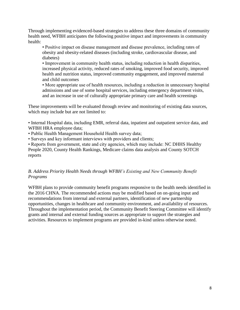Through implementing evidenced-based strategies to address these three domains of community health need, WFBH anticipates the following positive impact and improvements in community health:

• Positive impact on disease management and disease prevalence, including rates of obesity and obesity-related diseases (including stroke, cardiovascular disease, and diabetes)

• Improvement in community health status, including reduction in health disparities, increased physical activity, reduced rates of smoking, improved food security, improved health and nutrition status, improved community engagement, and improved maternal and child outcomes

• More appropriate use of health resources, including a reduction in unnecessary hospital admissions and use of some hospital services, including emergency department visits, and an increase in use of culturally appropriate primary care and health screenings

These improvements will be evaluated through review and monitoring of existing data sources, which may include but are not limited to:

• Internal Hospital data, including EMR, referral data, inpatient and outpatient service data, and WFBH HRA employee data;

• Public Health Management Household Health survey data;

• Surveys and key informant interviews with providers and clients;

• Reports from government, state and city agencies, which may include: NC DHHS Healthy People 2020, County Health Rankings, Medicare claims data analysis and County SOTCH reports

## *B. Address Priority Health Needs through WFBH's Existing and New Community Benefit Programs*

WFBH plans to provide community benefit programs responsive to the health needs identified in the 2016 CHNA. The recommended actions may be modified based on on-going input and recommendations from internal and external partners, identification of new partnership opportunities, changes in healthcare and community environment, and availability of resources. Throughout the implementation period, the Community Benefit Steering Committee will identify grants and internal and external funding sources as appropriate to support the strategies and activities. Resources to implement programs are provided in-kind unless otherwise noted.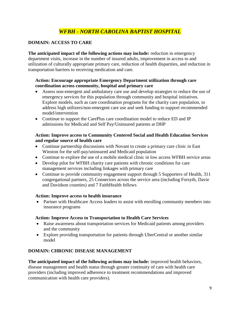# *WFBH - NORTH CAROLINA BAPTIST HOSPITAL*

# **DOMAIN: ACCESS TO CARE**

**The anticipated impact of the following actions may include:** reduction in emergency department visits, increase in the number of insured adults, improvement in access to and utilization of culturally appropriate primary care, reduction of health disparities, and reduction in transportation barriers to receiving medication and care.

## **Action: Encourage appropriate Emergency Department utilization through care coordination across community, hospital and primary care**

- Assess non-emergent and ambulatory care use and develop strategies to reduce the use of emergency services for this population through community and hospital initiatives. Explore models, such as care coordination programs for the charity care population, to address high utilizers/non-emergent care use and seek funding to support recommended model/intervention
- Continue to support the CarePlus care coordination model to reduce ED and IP admissions for Medicaid and Self Pay/Uninsured patients at DHP

#### **Action: Improve access to Community Centered Social and Health Education Services and regular source of health care**

- Continue partnership discussions with Novant to create a primary care clinic in East Winston for the self-pay/uninsured and Medicaid population
- Continue to explore the use of a mobile medical clinic in low access WFBH service areas
- Develop pilot for WFBH charity care patients with chronic conditions for care management services including linkages with primary care
- Continue to provide community engagement support through 5 Supporters of Health, 311 congregational partners, 25 Connectors across the service area (including Forsyth, Davie and Davidson counties) and 7 FaithHealth fellows

## **Action: Improve access to health insurance**

 Partner with Healthcare Access leaders to assist with enrolling community members into insurance programs

#### **Action: Improve Access to Transportation to Health Care Services**

- Raise awareness about transportation services for Medicaid patients among providers and the community
- Explore providing transportation for patients through UberCentral or another similar model

# **DOMAIN: CHRONIC DISEASE MANAGEMENT**

**The anticipated impact of the following actions may include:** improved health behaviors, disease management and health status through greater continuity of care with health care providers (including improved adherence to treatment recommendations and improved communication with health care providers).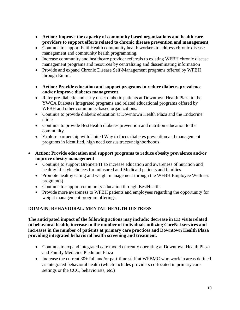- **Action: Improve the capacity of community based organizations and health care providers to support efforts related to chronic disease prevention and management**
- Continue to support FaithHealth community health workers to address chronic disease management and community health programming.
- Increase community and healthcare provider referrals to existing WFBH chronic disease management programs and resources by centralizing and disseminating information
- Provide and expand Chronic Disease Self-Management programs offered by WFBH through Emmi.
- **Action: Provide education and support programs to reduce diabetes prevalence and/or improve diabetes management**
- Refer pre-diabetic and early onset diabetic patients at Downtown Health Plaza to the YWCA Diabetes Integrated programs and related educational programs offered by WFBH and other community-based organizations.
- Continue to provide diabetic education at Downtown Health Plaza and the Endocrine clinic
- Continue to provide BestHealth diabetes prevention and nutrition education to the community.
- Explore partnership with United Way to focus diabetes prevention and management programs in identified, high need census tracts/neighborhoods
- **Action: Provide education and support programs to reduce obesity prevalence and/or improve obesity management** 
	- Continue to support BrennerFIT to increase education and awareness of nutrition and healthy lifestyle choices for uninsured and Medicaid patients and families
	- Promote healthy eating and weight management through the WFBH Employee Wellness program(s)
	- Continue to support community education through BestHealth
	- Provide more awareness to WFBH patients and employees regarding the opportunity for weight management program offerings.

# **DOMAIN: BEHAVIORAL/ MENTAL HEALTH DISTRESS**

**The anticipated impact of the following actions may include: decrease in ED visits related to behavioral health, increase in the number of individuals utilizing CareNet services and increases in the number of patients at primary care practices and Downtown Health Plaza providing integrated behavioral health screening and treatment**.

- Continue to expand integrated care model currently operating at Downtown Health Plaza and Family Medicine Piedmont Plaza
- Increase the current 30+ full and/or part-time staff at WFBMC who work in areas defined as integrated behavioral health (which includes providers co-located in primary care settings or the CCC, behaviorists, etc.)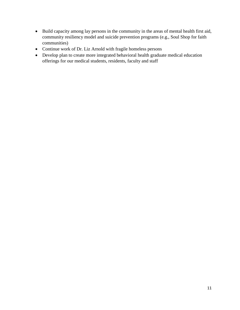- Build capacity among lay persons in the community in the areas of mental health first aid, community resiliency model and suicide prevention programs (e.g., Soul Shop for faith communities)
- Continue work of Dr. Liz Arnold with fragile homeless persons
- Develop plan to create more integrated behavioral health graduate medical education offerings for our medical students, residents, faculty and staff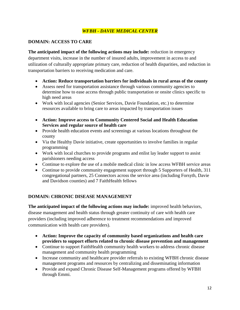# *WFBH - DAVIE MEDICAL CENTER*

## **DOMAIN: ACCESS TO CARE**

**The anticipated impact of the following actions may include:** reduction in emergency department visits, increase in the number of insured adults, improvement in access to and utilization of culturally appropriate primary care, reduction of health disparities, and reduction in transportation barriers to receiving medication and care.

- **Action: Reduce transportation barriers for individuals in rural areas of the county**
- Assess need for transportation assistance through various community agencies to determine how to ease access through public transportation or onsite clinics specific to high need areas
- Work with local agencies (Senior Services, Davie Foundation, etc.) to determine resources available to bring care to areas impacted by transportation issues
- **Action: Improve access to Community Centered Social and Health Education Services and regular source of health care**
- Provide health education events and screenings at various locations throughout the county
- Via the Healthy Davie initiative, create opportunities to involve families in regular programming
- Work with local churches to provide programs and enlist lay leader support to assist parishioners needing access
- Continue to explore the use of a mobile medical clinic in low access WFBH service areas
- Continue to provide community engagement support through 5 Supporters of Health, 311 congregational partners, 25 Connectors across the service area (including Forsyth, Davie and Davidson counties) and 7 FaithHealth fellows

## **DOMAIN: CHRONIC DISEASE MANAGEMENT**

**The anticipated impact of the following actions may include:** improved health behaviors, disease management and health status through greater continuity of care with health care providers (including improved adherence to treatment recommendations and improved communication with health care providers).

- **Action: Improve the capacity of community based organizations and health care providers to support efforts related to chronic disease prevention and management**
- Continue to support FaithHealth community health workers to address chronic disease management and community health programming
- Increase community and healthcare provider referrals to existing WFBH chronic disease management programs and resources by centralizing and disseminating information
- Provide and expand Chronic Disease Self-Management programs offered by WFBH through Emmi.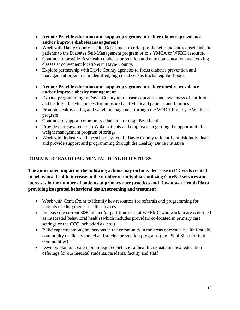- **Action: Provide education and support programs to reduce diabetes prevalence and/or improve diabetes management**
- Work with Davie County Health Department to refer pre-diabetic and early onset diabetic patients to the Diabetes Self-Management program or to a YMCA or WFBH resource.
- Continue to provide BestHealth diabetes prevention and nutrition education and cooking classes at convenient locations in Davie County.
- Explore partnership with Davie County agencies to focus diabetes prevention and management programs in identified, high need census tracts/neighborhoods
- **Action: Provide education and support programs to reduce obesity prevalence and/or improve obesity management**
- Expand programming in Davie County to increase education and awareness of nutrition and healthy lifestyle choices for uninsured and Medicaid patients and families
- Promote healthy eating and weight management through the WFBH Employee Wellness program
- Continue to support community education through BestHealth
- Provide more awareness to Wake patients and employees regarding the opportunity for weight management program offerings
- Work with industry and the school system in Davie County to identify at risk individuals and provide support and programming through the Healthy Davie Initiative

# **DOMAIN: BEHAVIORAL/ MENTAL HEALTH DISTRESS**

**The anticipated impact of the following actions may include: decrease in ED visits related to behavioral health, increase in the number of individuals utilizing CareNet services and increases in the number of patients at primary care practices and Downtown Health Plaza providing integrated behavioral health screening and treatment**

- Work with CenterPoint to identify key resources for referrals and programming for patients needing mental health services
- Increase the current 30+ full and/or part-time staff at WFBMC who work in areas defined as integrated behavioral health (which includes providers co-located in primary care settings or the CCC, behaviorists, etc.)
- Build capacity among lay persons in the community in the areas of mental health first aid, community resiliency model and suicide prevention programs (e.g., Soul Shop for faith communities)
- Develop plan to create more integrated behavioral health graduate medical education offerings for our medical students, residents, faculty and staff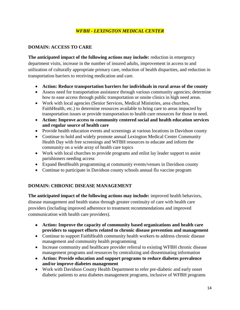# *WFBH - LEXINGTON MEDICAL CENTER*

# **DOMAIN: ACCESS TO CARE**

**The anticipated impact of the following actions may include:** reduction in emergency department visits, increase in the number of insured adults, improvement in access to and utilization of culturally appropriate primary care, reduction of health disparities, and reduction in transportation barriers to receiving medication and care.

- **Action: Reduce transportation barriers for individuals in rural areas of the county**
- Assess need for transportation assistance through various community agencies; determine how to ease access through public transportation or onsite clinics in high need areas.
- Work with local agencies (Senior Services, Medical Ministries, area churches, FaithHealth, etc.) to determine resources available to bring care to areas impacted by transportation issues or provide transportation to health care resources for those in need.
- **Action: Improve access to community centered social and health education services and regular source of health care**
- Provide health education events and screenings at various locations in Davidson county
- Continue to hold and widely promote annual Lexington Medical Center Community Health Day with free screenings and WFBH resources to educate and inform the community on a wide array of health care topics
- Work with local churches to provide programs and enlist lay leader support to assist parishioners needing access
- Expand BestHealth programming at community events/venues in Davidson county
- Continue to participate in Davidson county schools annual flu vaccine program

# **DOMAIN: CHRONIC DISEASE MANAGEMENT**

**The anticipated impact of the following actions may include:** improved health behaviors, disease management and health status through greater continuity of care with health care providers (including improved adherence to treatment recommendations and improved communication with health care providers).

- **Action: Improve the capacity of community based organizations and health care providers to support efforts related to chronic disease prevention and management**
- Continue to support FaithHealth community health workers to address chronic disease management and community health programming
- Increase community and healthcare provider referral to existing WFBH chronic disease management programs and resources by centralizing and disseminating information
- **Action: Provide education and support programs to reduce diabetes prevalence and/or improve diabetes management**
- Work with Davidson County Health Department to refer pre-diabetic and early onset diabetic patients to area diabetes management programs, inclusive of WFBH programs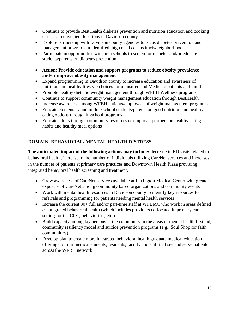- Continue to provide BestHealth diabetes prevention and nutrition education and cooking classes at convenient locations in Davidson county
- Explore partnership with Davidson county agencies to focus diabetes prevention and management programs in identified, high need census tracts/neighborhoods
- Participate in opportunities with area schools to screen for diabetes and/or educate students/parents on diabetes prevention
- **Action: Provide education and support programs to reduce obesity prevalence and/or improve obesity management**
- Expand programming in Davidson county to increase education and awareness of nutrition and healthy lifestyle choices for uninsured and Medicaid patients and families
- Promote healthy diet and weight management through WFBH Wellness programs
- Continue to support community weight management education through BestHealth
- Increase awareness among WFBH patients/employees of weight management programs
- Educate elementary and middle school students/parents on good nutrition and healthy eating options through in-school programs
- Educate adults through community resources or employer partners on healthy eating habits and healthy meal options

# **DOMAIN: BEHAVIORAL/ MENTAL HEALTH DISTRESS**

**The anticipated impact of the following actions may include:** decrease in ED visits related to behavioral health, increase in the number of individuals utilizing CareNet services and increases in the number of patients at primary care practices and Downtown Health Plaza providing integrated behavioral health screening and treatment.

- Grow awareness of CareNet services available at Lexington Medical Center with greater exposure of CareNet among community based organizations and community events
- Work with mental health resources in Davidson county to identify key resources for referrals and programming for patients needing mental health services
- Increase the current 30+ full and/or part-time staff at WFBMC who work in areas defined as integrated behavioral health (which includes providers co-located in primary care settings or the CCC, behaviorists, etc.)
- Build capacity among lay persons in the community in the areas of mental health first aid, community resiliency model and suicide prevention programs (e.g., Soul Shop for faith communities)
- Develop plan to create more integrated behavioral health graduate medical education offerings for our medical students, residents, faculty and staff that see and serve patients across the WFBH network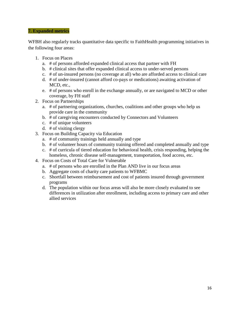#### **7. Expanded metrics**

WFBH also regularly tracks quantitative data specific to FaithHealth programming initiatives in the following four areas:

- 1. Focus on Places
	- a. # of persons afforded expanded clinical access that partner with FH
	- b. # clinical sites that offer expanded clinical access to under-served persons
	- c. # of un-insured persons (no coverage at all) who are afforded access to clinical care
	- d. # of under-insured (cannot afford co-pays or medications) awaiting activation of MCD, etc.,
	- e. # of persons who enroll in the exchange annually, or are navigated to MCD or other coverage, by FH staff
- 2. Focus on Partnerships
	- a. # of partnering organizations, churches, coalitions and other groups who help us provide care in the community
	- b. # of caregiving encounters conducted by Connectors and Volunteers
	- c. # of unique volunteers
	- d. # of visiting clergy
- 3. Focus on Building Capacity via Education
	- a. # of community trainings held annually and type
	- b. # of volunteer hours of community training offered and completed annually and type
	- c. # of curricula of tiered education for behavioral health, crisis responding, helping the homeless, chronic disease self-management, transportation, food access, etc.
- 4. Focus on Costs of Total Care for Vulnerable
	- a. # of persons who are enrolled in the Plan AND live in our focus areas
	- b. Aggregate costs of charity care patients to WFBMC
	- c. Shortfall between reimbursement and cost of patients insured through government programs
	- d. The population within our focus areas will also be more closely evaluated to see differences in utilization after enrollment, including access to primary care and other allied services